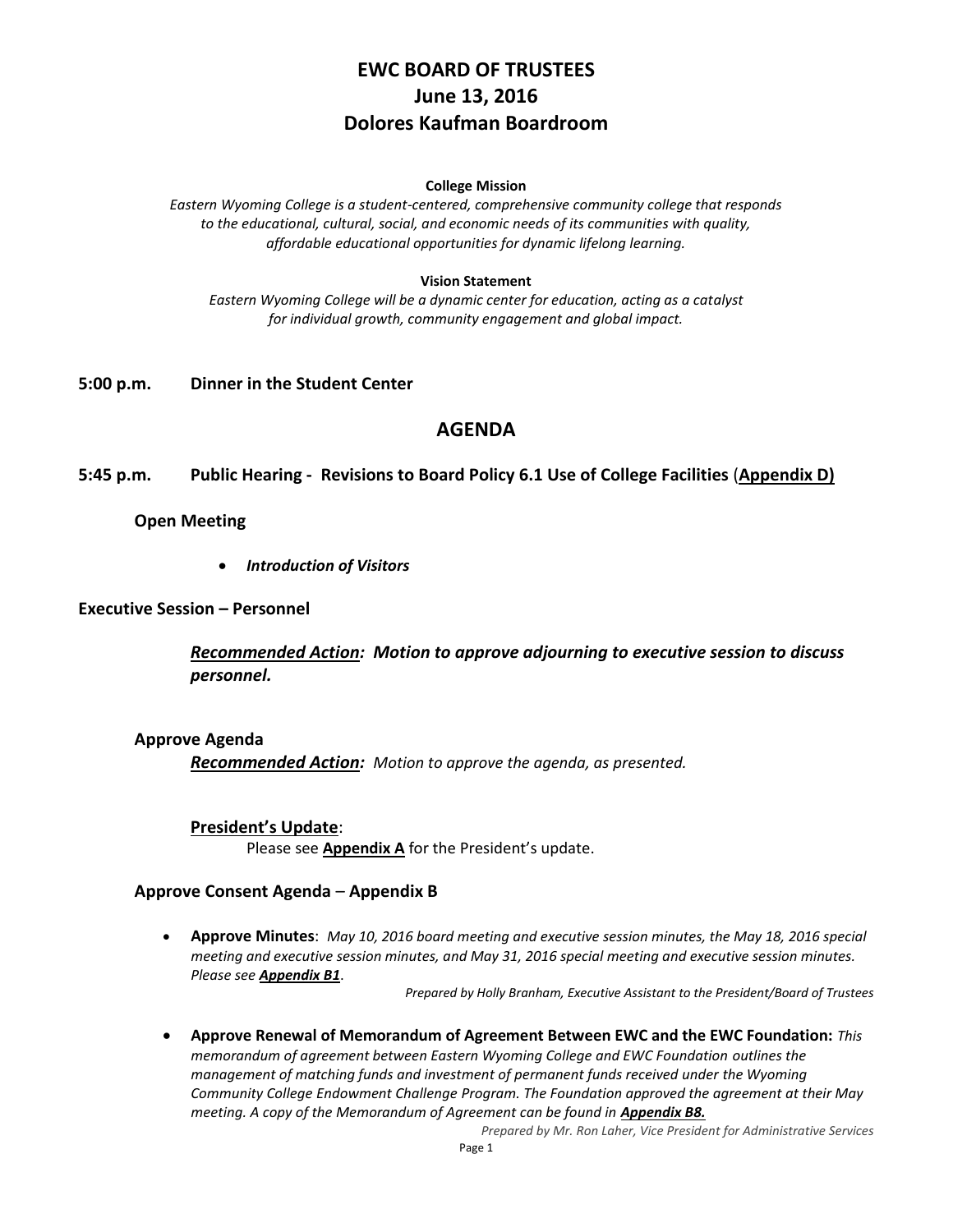# **EWC BOARD OF TRUSTEES June 13, 2016 Dolores Kaufman Boardroom**

#### **College Mission**

*Eastern Wyoming College is a student-centered, comprehensive community college that responds to the educational, cultural, social, and economic needs of its communities with quality, affordable educational opportunities for dynamic lifelong learning.*

#### **Vision Statement**

*Eastern Wyoming College will be a dynamic center for education, acting as a catalyst for individual growth, community engagement and global impact.*

### **5:00 p.m. Dinner in the Student Center**

### **AGENDA**

**5:45 p.m. Public Hearing - Revisions to Board Policy 6.1 Use of College Facilities** (**Appendix D)**

#### **Open Meeting**

*Introduction of Visitors*

### **Executive Session – Personnel**

*Recommended Action: Motion to approve adjourning to executive session to discuss personnel.*

#### **Approve Agenda**

*Recommended Action: Motion to approve the agenda, as presented.*

#### **President's Update**:

Please see **Appendix A** for the President's update.

#### **Approve Consent Agenda** – **Appendix B**

 **Approve Minutes**: *May 10, 2016 board meeting and executive session minutes, the May 18, 2016 special meeting and executive session minutes, and May 31, 2016 special meeting and executive session minutes. Please see Appendix B1*.

*Prepared by Holly Branham, Executive Assistant to the President/Board of Trustees*

 **Approve Renewal of Memorandum of Agreement Between EWC and the EWC Foundation:** *This memorandum of agreement between Eastern Wyoming College and EWC Foundation outlines the management of matching funds and investment of permanent funds received under the Wyoming Community College Endowment Challenge Program. The Foundation approved the agreement at their May meeting. A copy of the Memorandum of Agreement can be found in Appendix B8.* 

*Prepared by Mr. Ron Laher, Vice President for Administrative Services*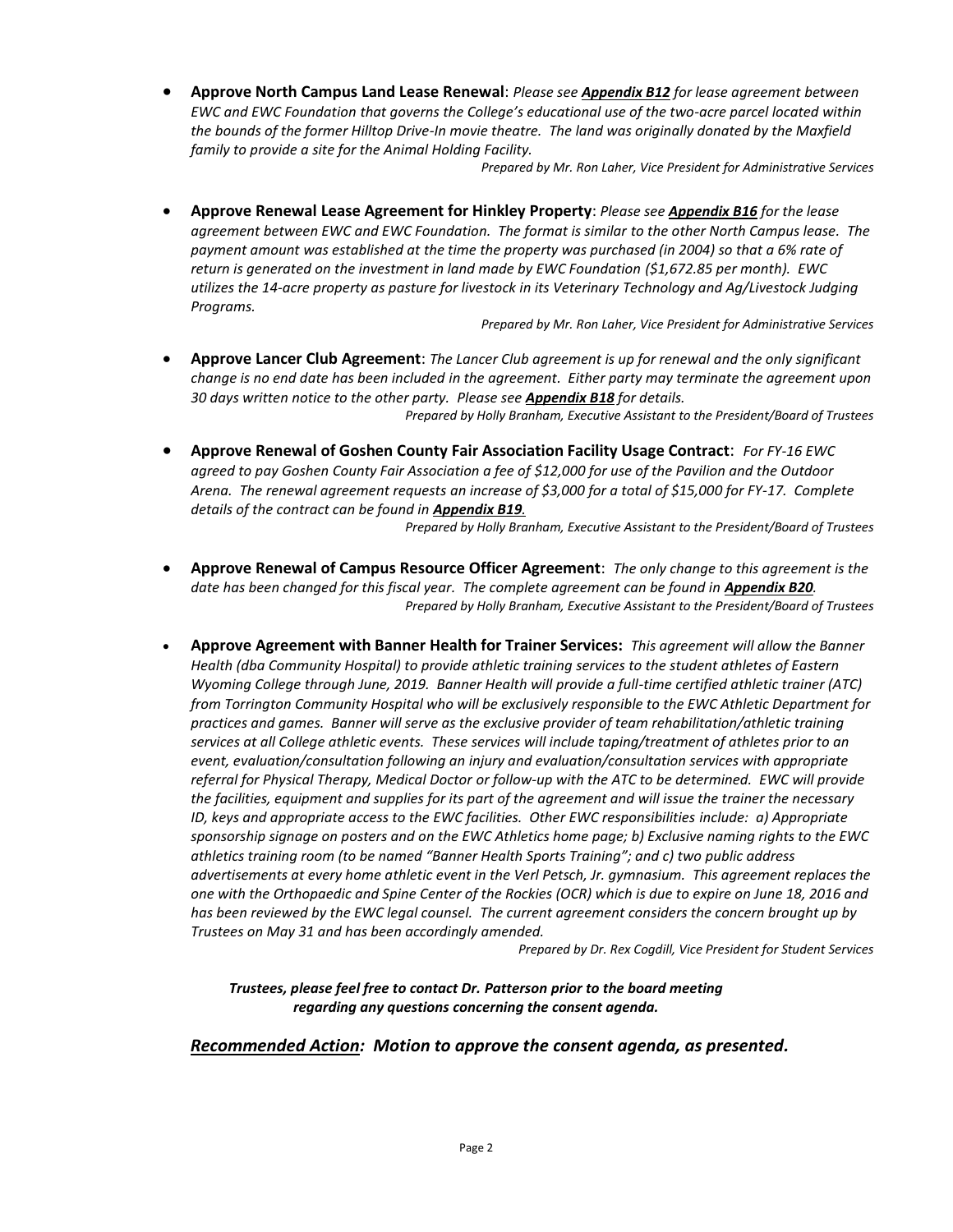**Approve North Campus Land Lease Renewal**: *Please see Appendix B12 for lease agreement between EWC and EWC Foundation that governs the College's educational use of the two-acre parcel located within the bounds of the former Hilltop Drive-In movie theatre. The land was originally donated by the Maxfield family to provide a site for the Animal Holding Facility.*

*Prepared by Mr. Ron Laher, Vice President for Administrative Services*

 **Approve Renewal Lease Agreement for Hinkley Property**: *Please see Appendix B16 for the lease agreement between EWC and EWC Foundation. The format is similar to the other North Campus lease. The payment amount was established at the time the property was purchased (in 2004) so that a 6% rate of return is generated on the investment in land made by EWC Foundation (\$1,672.85 per month). EWC utilizes the 14-acre property as pasture for livestock in its Veterinary Technology and Ag/Livestock Judging Programs.*

*Prepared by Mr. Ron Laher, Vice President for Administrative Services*

- **Approve Lancer Club Agreement**: *The Lancer Club agreement is up for renewal and the only significant change is no end date has been included in the agreement. Either party may terminate the agreement upon 30 days written notice to the other party. Please see Appendix B18 for details. Prepared by Holly Branham, Executive Assistant to the President/Board of Trustees*
- **Approve Renewal of Goshen County Fair Association Facility Usage Contract**: *For FY-16 EWC agreed to pay Goshen County Fair Association a fee of \$12,000 for use of the Pavilion and the Outdoor Arena. The renewal agreement requests an increase of \$3,000 for a total of \$15,000 for FY-17. Complete details of the contract can be found in Appendix B19.*

*Prepared by Holly Branham, Executive Assistant to the President/Board of Trustees*

- **Approve Renewal of Campus Resource Officer Agreement**: *The only change to this agreement is the*  date has been changed for this fiscal year. The complete agreement can be found in **Appendix B20**. *Prepared by Holly Branham, Executive Assistant to the President/Board of Trustees*
- **Approve Agreement with Banner Health for Trainer Services:** *This agreement will allow the Banner Health (dba Community Hospital) to provide athletic training services to the student athletes of Eastern Wyoming College through June, 2019. Banner Health will provide a full-time certified athletic trainer (ATC) from Torrington Community Hospital who will be exclusively responsible to the EWC Athletic Department for practices and games. Banner will serve as the exclusive provider of team rehabilitation/athletic training services at all College athletic events. These services will include taping/treatment of athletes prior to an event, evaluation/consultation following an injury and evaluation/consultation services with appropriate referral for Physical Therapy, Medical Doctor or follow-up with the ATC to be determined. EWC will provide the facilities, equipment and supplies for its part of the agreement and will issue the trainer the necessary ID, keys and appropriate access to the EWC facilities. Other EWC responsibilities include: a) Appropriate sponsorship signage on posters and on the EWC Athletics home page; b) Exclusive naming rights to the EWC athletics training room (to be named "Banner Health Sports Training"; and c) two public address advertisements at every home athletic event in the Verl Petsch, Jr. gymnasium. This agreement replaces the one with the Orthopaedic and Spine Center of the Rockies (OCR) which is due to expire on June 18, 2016 and has been reviewed by the EWC legal counsel. The current agreement considers the concern brought up by Trustees on May 31 and has been accordingly amended.*

*Prepared by Dr. Rex Cogdill, Vice President for Student Services*

*Trustees, please feel free to contact Dr. Patterson prior to the board meeting regarding any questions concerning the consent agenda.*

#### *Recommended Action: Motion to approve the consent agenda, as presented.*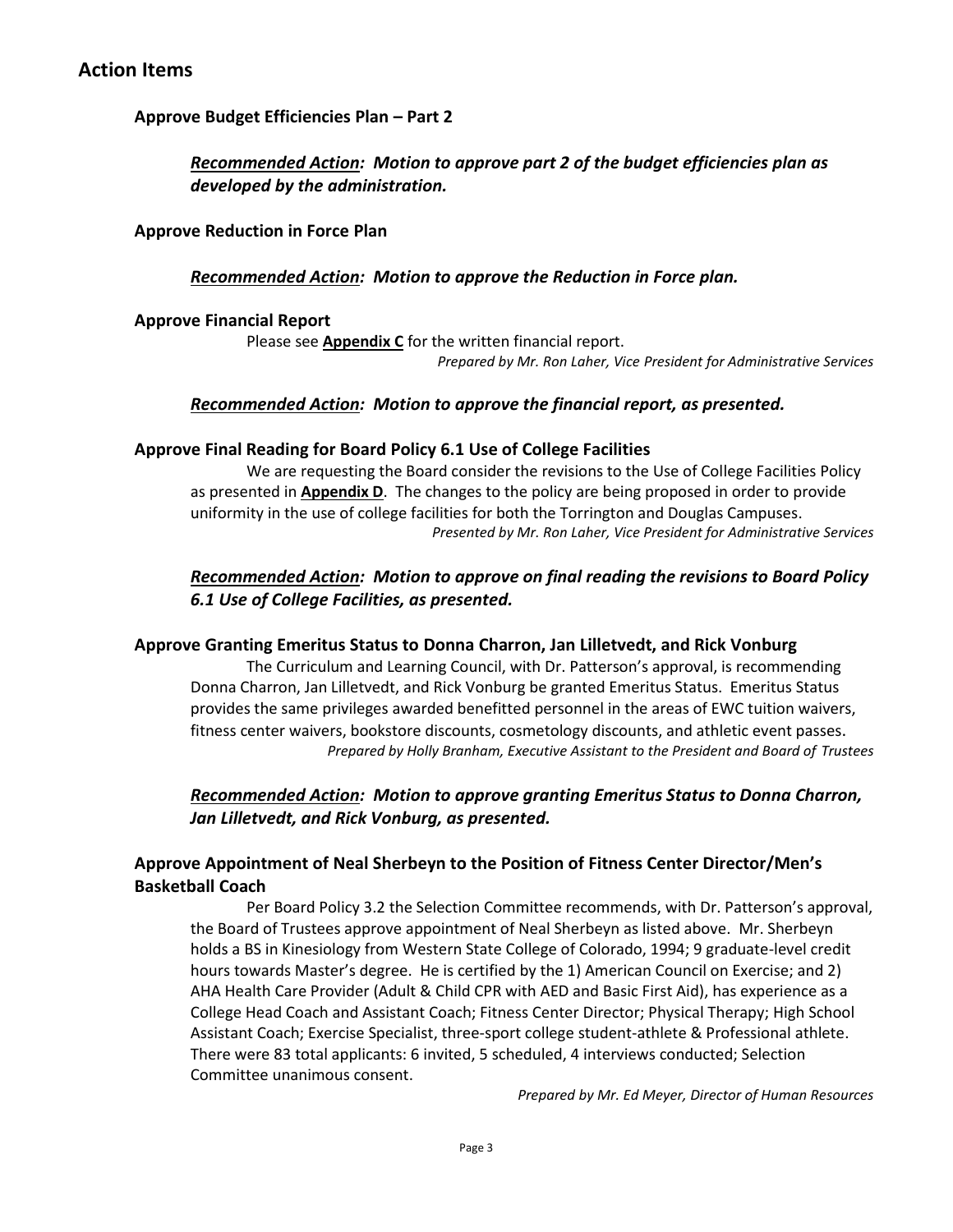## **Approve Budget Efficiencies Plan – Part 2**

## *Recommended Action: Motion to approve part 2 of the budget efficiencies plan as developed by the administration.*

### **Approve Reduction in Force Plan**

### *Recommended Action: Motion to approve the Reduction in Force plan.*

### **Approve Financial Report**

Please see **Appendix C** for the written financial report. *Prepared by Mr. Ron Laher, Vice President for Administrative Services*

## *Recommended Action: Motion to approve the financial report, as presented.*

### **Approve Final Reading for Board Policy 6.1 Use of College Facilities**

We are requesting the Board consider the revisions to the Use of College Facilities Policy as presented in **Appendix D**. The changes to the policy are being proposed in order to provide uniformity in the use of college facilities for both the Torrington and Douglas Campuses. *Presented by Mr. Ron Laher, Vice President for Administrative Services*

## *Recommended Action: Motion to approve on final reading the revisions to Board Policy 6.1 Use of College Facilities, as presented.*

### **Approve Granting Emeritus Status to Donna Charron, Jan Lilletvedt, and Rick Vonburg**

The Curriculum and Learning Council, with Dr. Patterson's approval, is recommending Donna Charron, Jan Lilletvedt, and Rick Vonburg be granted Emeritus Status. Emeritus Status provides the same privileges awarded benefitted personnel in the areas of EWC tuition waivers, fitness center waivers, bookstore discounts, cosmetology discounts, and athletic event passes. *Prepared by Holly Branham, Executive Assistant to the President and Board of Trustees*

## *Recommended Action: Motion to approve granting Emeritus Status to Donna Charron, Jan Lilletvedt, and Rick Vonburg, as presented.*

## **Approve Appointment of Neal Sherbeyn to the Position of Fitness Center Director/Men's Basketball Coach**

Per Board Policy 3.2 the Selection Committee recommends, with Dr. Patterson's approval, the Board of Trustees approve appointment of Neal Sherbeyn as listed above. Mr. Sherbeyn holds a BS in Kinesiology from Western State College of Colorado, 1994; 9 graduate-level credit hours towards Master's degree. He is certified by the 1) American Council on Exercise; and 2) AHA Health Care Provider (Adult & Child CPR with AED and Basic First Aid), has experience as a College Head Coach and Assistant Coach; Fitness Center Director; Physical Therapy; High School Assistant Coach; Exercise Specialist, three-sport college student-athlete & Professional athlete. There were 83 total applicants: 6 invited, 5 scheduled, 4 interviews conducted; Selection Committee unanimous consent.

*Prepared by Mr. Ed Meyer, Director of Human Resources*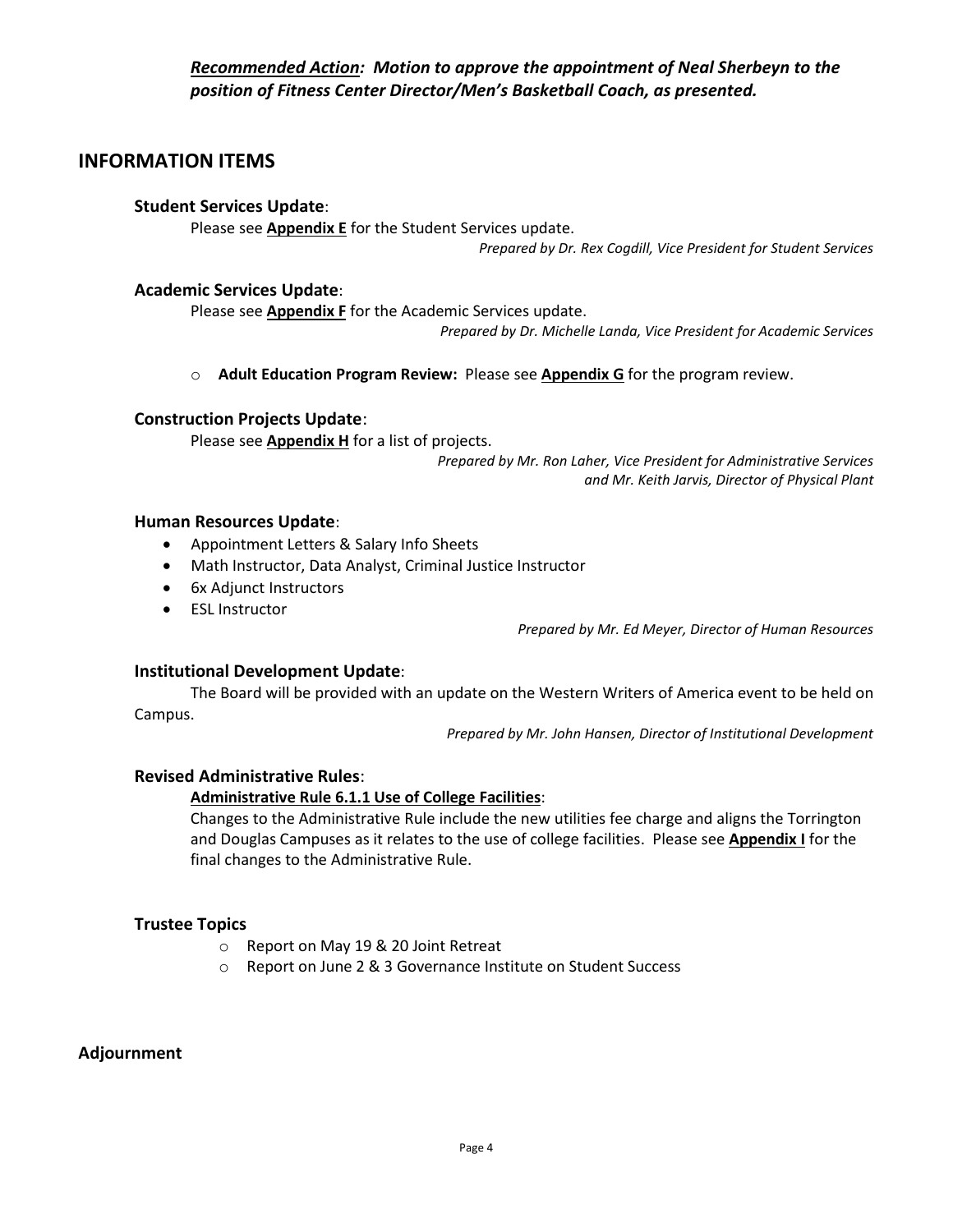*Recommended Action: Motion to approve the appointment of Neal Sherbeyn to the position of Fitness Center Director/Men's Basketball Coach, as presented.*

## **INFORMATION ITEMS**

### **Student Services Update**:

Please see **Appendix E** for the Student Services update.

*Prepared by Dr. Rex Cogdill, Vice President for Student Services*

### **Academic Services Update**:

Please see **Appendix F** for the Academic Services update.

*Prepared by Dr. Michelle Landa, Vice President for Academic Services*

o **Adult Education Program Review:** Please see **Appendix G** for the program review.

### **Construction Projects Update**:

Please see **Appendix H** for a list of projects.

*Prepared by Mr. Ron Laher, Vice President for Administrative Services and Mr. Keith Jarvis, Director of Physical Plant*

#### **Human Resources Update**:

- Appointment Letters & Salary Info Sheets
- Math Instructor, Data Analyst, Criminal Justice Instructor
- 6x Adjunct Instructors
- ESL Instructor

*Prepared by Mr. Ed Meyer, Director of Human Resources*

### **Institutional Development Update**:

The Board will be provided with an update on the Western Writers of America event to be held on Campus.

*Prepared by Mr. John Hansen, Director of Institutional Development*

### **Revised Administrative Rules**:

### **Administrative Rule 6.1.1 Use of College Facilities**:

Changes to the Administrative Rule include the new utilities fee charge and aligns the Torrington and Douglas Campuses as it relates to the use of college facilities. Please see **Appendix I** for the final changes to the Administrative Rule.

### **Trustee Topics**

- o Report on May 19 & 20 Joint Retreat
- o Report on June 2 & 3 Governance Institute on Student Success

### **Adjournment**